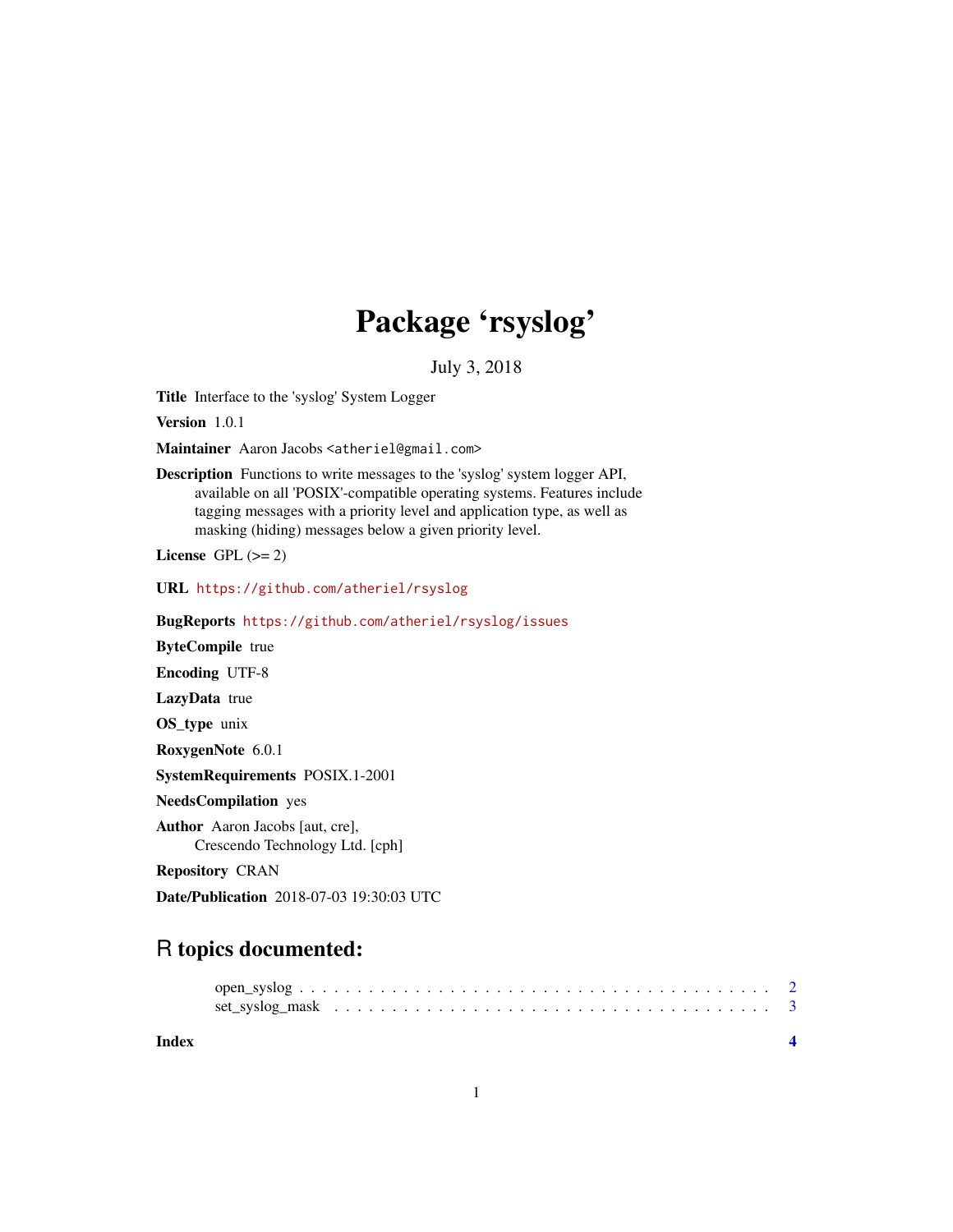## Package 'rsyslog'

July 3, 2018

Title Interface to the 'syslog' System Logger

Version 1.0.1

Maintainer Aaron Jacobs <atheriel@gmail.com>

Description Functions to write messages to the 'syslog' system logger API, available on all 'POSIX'-compatible operating systems. Features include tagging messages with a priority level and application type, as well as masking (hiding) messages below a given priority level.

License GPL  $(>= 2)$ 

URL <https://github.com/atheriel/rsyslog>

BugReports <https://github.com/atheriel/rsyslog/issues>

ByteCompile true

Encoding UTF-8

LazyData true

OS\_type unix

RoxygenNote 6.0.1

SystemRequirements POSIX.1-2001

NeedsCompilation yes

Author Aaron Jacobs [aut, cre], Crescendo Technology Ltd. [cph]

Repository CRAN

Date/Publication 2018-07-03 19:30:03 UTC

### R topics documented:

**Index** [4](#page-3-0)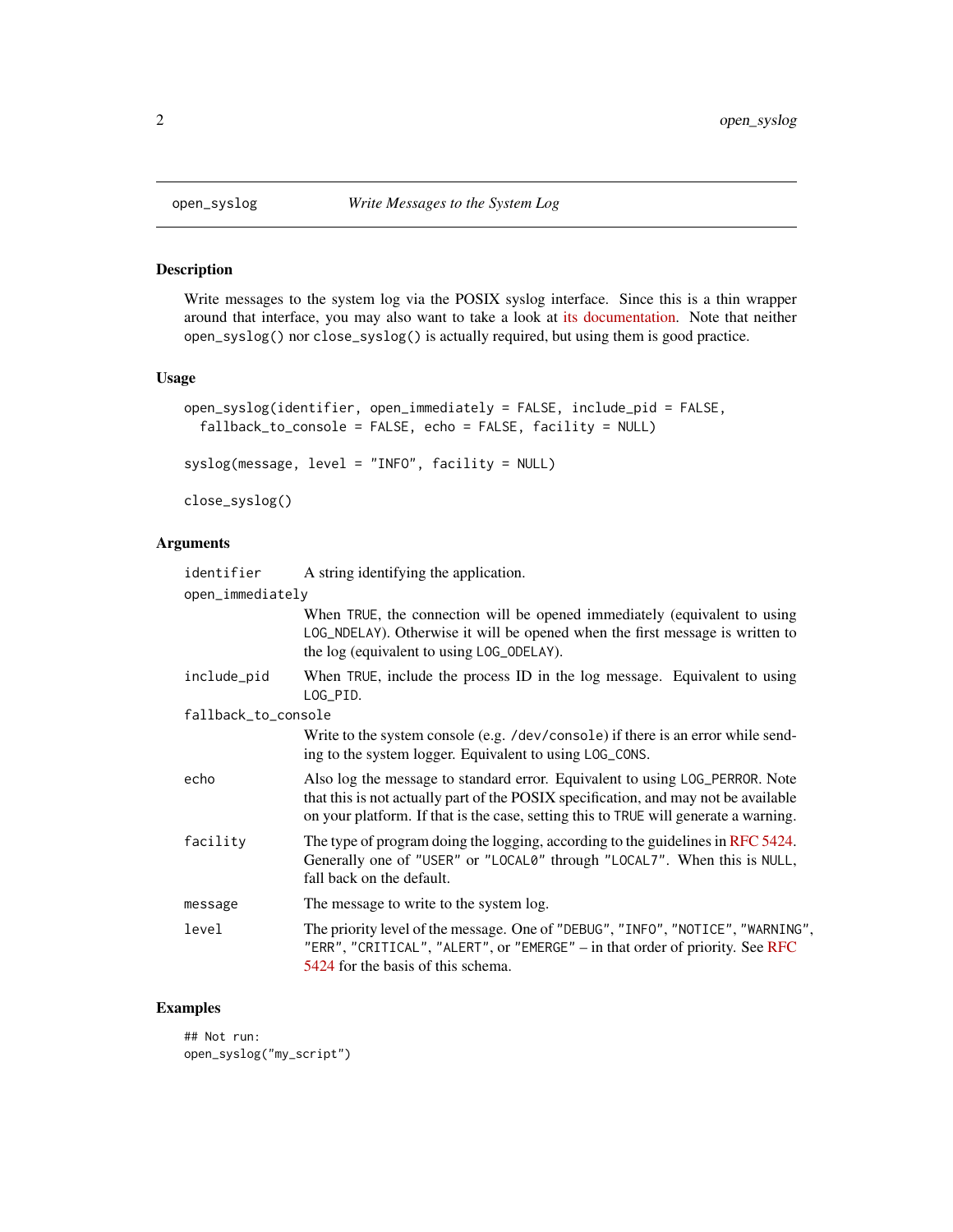<span id="page-1-0"></span>

#### Description

Write messages to the system log via the POSIX syslog interface. Since this is a thin wrapper around that interface, you may also want to take a look at [its documentation.](man7.org/linux/man-pages/man3/syslog.3.html) Note that neither open\_syslog() nor close\_syslog() is actually required, but using them is good practice.

#### Usage

```
open_syslog(identifier, open_immediately = FALSE, include_pid = FALSE,
  fallback_to_console = FALSE, echo = FALSE, facility = NULL)
syslog(message, level = "INFO", facility = NULL)
close_syslog()
```
#### Arguments

| identifier          | A string identifying the application.                                                                                                                                                                                                                       |  |  |  |  |  |  |  |
|---------------------|-------------------------------------------------------------------------------------------------------------------------------------------------------------------------------------------------------------------------------------------------------------|--|--|--|--|--|--|--|
| open_immediately    |                                                                                                                                                                                                                                                             |  |  |  |  |  |  |  |
|                     | When TRUE, the connection will be opened immediately (equivalent to using<br>LOG_NDELAY). Otherwise it will be opened when the first message is written to<br>the log (equivalent to using LOG_ODELAY).                                                     |  |  |  |  |  |  |  |
| include_pid         | When TRUE, include the process ID in the log message. Equivalent to using<br>LOG_PID.                                                                                                                                                                       |  |  |  |  |  |  |  |
| fallback_to_console |                                                                                                                                                                                                                                                             |  |  |  |  |  |  |  |
|                     | Write to the system console (e.g. /dev/console) if there is an error while send-<br>ing to the system logger. Equivalent to using LOG_CONS.                                                                                                                 |  |  |  |  |  |  |  |
| echo                | Also log the message to standard error. Equivalent to using LOG_PERROR. Note<br>that this is not actually part of the POSIX specification, and may not be available<br>on your platform. If that is the case, setting this to TRUE will generate a warning. |  |  |  |  |  |  |  |
| facility            | The type of program doing the logging, according to the guidelines in RFC 5424.<br>Generally one of "USER" or "LOCAL0" through "LOCAL7". When this is NULL,<br>fall back on the default.                                                                    |  |  |  |  |  |  |  |
| message             | The message to write to the system log.                                                                                                                                                                                                                     |  |  |  |  |  |  |  |
| level               | The priority level of the message. One of "DEBUG", "INFO", "NOTICE", "WARNING",<br>"ERR", "CRITICAL", "ALERT", or "EMERGE" $-$ in that order of priority. See RFC<br>5424 for the basis of this schema.                                                     |  |  |  |  |  |  |  |

#### Examples

## Not run: open\_syslog("my\_script")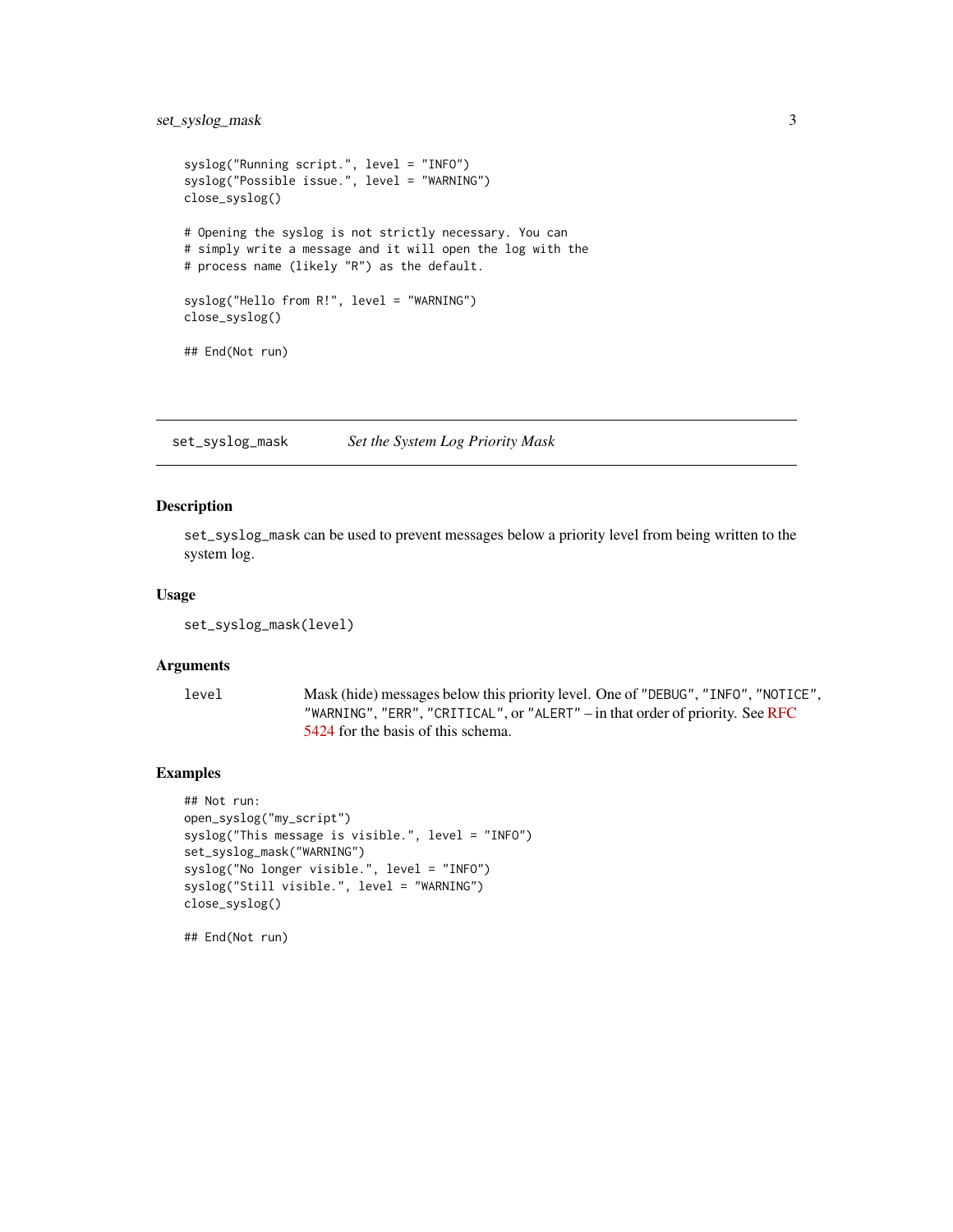#### <span id="page-2-0"></span>set\_syslog\_mask 3

```
syslog("Running script.", level = "INFO")
syslog("Possible issue.", level = "WARNING")
close_syslog()
# Opening the syslog is not strictly necessary. You can
# simply write a message and it will open the log with the
# process name (likely "R") as the default.
syslog("Hello from R!", level = "WARNING")
close_syslog()
## End(Not run)
```
set\_syslog\_mask *Set the System Log Priority Mask*

#### Description

set\_syslog\_mask can be used to prevent messages below a priority level from being written to the system log.

#### Usage

```
set_syslog_mask(level)
```
#### Arguments

level Mask (hide) messages below this priority level. One of "DEBUG", "INFO", "NOTICE", "WARNING", "ERR", "CRITICAL", or "ALERT" – in that order of priority. See [RFC](https://tools.ietf.org/html/rfc5424#page-11) [5424](https://tools.ietf.org/html/rfc5424#page-11) for the basis of this schema.

#### Examples

```
## Not run:
open_syslog("my_script")
syslog("This message is visible.", level = "INFO")
set_syslog_mask("WARNING")
syslog("No longer visible.", level = "INFO")
syslog("Still visible.", level = "WARNING")
close_syslog()
```
## End(Not run)